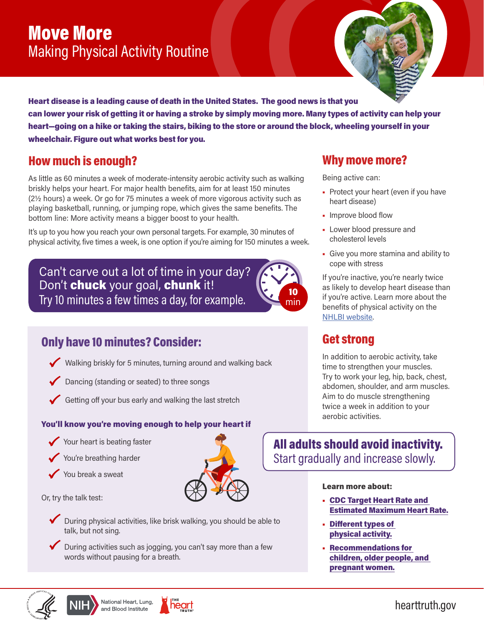# Move More Making Physical Activity Routine

Heart disease is a leading cause of death in the United States. The good news is that you

can lower your risk of getting it or having a stroke by simply moving more. Many types of activity can help your heart—going on a hike or taking the stairs, biking to the store or around the block, wheeling yourself in your wheelchair. Figure out what works best for you.

# How much is enough?

As little as 60 minutes a week of moderate-intensity aerobic activity such as walking briskly helps your heart. For major health benefits, aim for at least 150 minutes (2½ hours) a week. Or go for 75 minutes a week of more vigorous activity such as playing basketball, running, or jumping rope, which gives the same benefits. The bottom line: More activity means a bigger boost to your health.

It's up to you how you reach your own personal targets. For example, 30 minutes of physical activity, five times a week, is one option if you're aiming for 150 minutes a week.

Can't carve out a lot of time in your day? Don't **chuck** your goal, **chunk** it! Try 10 minutes a few times a day, for example.



- Walking briskly for 5 minutes, turning around and walking back
- Dancing (standing or seated) to three songs
- Getting off your bus early and walking the last stretch

### You'll know you're moving enough to help your heart if

- Your heart is beating faster
- You're breathing harder
- You break a sweat

Or, try the talk test:



During activities such as jogging, you can't say more than a few words without pausing for a breath.

## Why move more?

Being active can:

- Protect your heart (even if you have heart disease)
- Improve blood flow
- Lower blood pressure and cholesterol levels
- Give you more stamina and ability to cope with stress

If you're inactive, you're nearly twice as likely to develop heart disease than if you're active. Learn more about the benefits of physical activity on the [NHLBI website](https://www.nhlbi.nih.gov/health-topics/physical-activity-and-your-heart).

### Get strong

min

In addition to aerobic activity, take time to strengthen your muscles. Try to work your leg, hip, back, chest, abdomen, shoulder, and arm muscles. Aim to do muscle strengthening twice a week in addition to your aerobic activities.

All adults should avoid inactivity. Start gradually and increase slowly.

### Learn more about:

- [CDC Target Heart Rate and](https://www.cdc.gov/physicalactivity/basics/measuring/heartrate.htm)  [Estimated Maximum Heart Rate.](https://www.cdc.gov/physicalactivity/basics/measuring/heartrate.htm)
- [Different types of](https://www.nhlbi.nih.gov/health-topics/physical-activity-and-your-heart#Types)  [physical activity.](https://www.nhlbi.nih.gov/health-topics/physical-activity-and-your-heart#Types)
- [Recommendations for](https://www.nhlbi.nih.gov/health-topics/physical-activity-and-your-heart)  [children, older people, and](https://www.nhlbi.nih.gov/health-topics/physical-activity-and-your-heart)  [pregnant women](https://www.nhlbi.nih.gov/health-topics/physical-activity-and-your-heart).